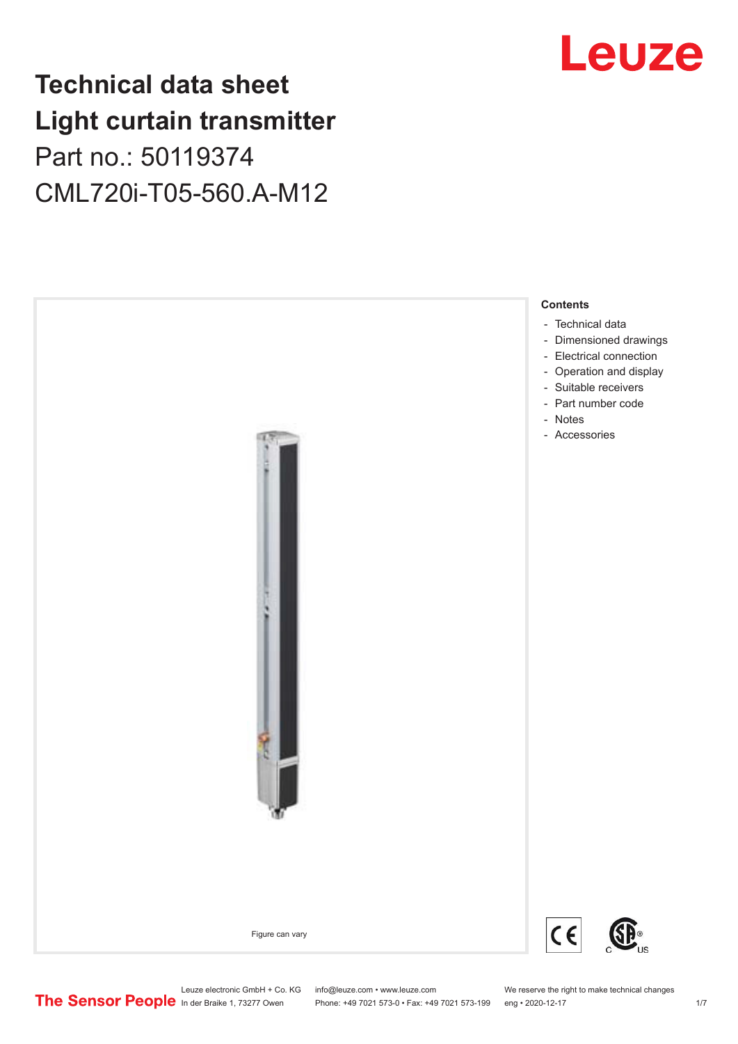## **Technical data sheet Light curtain transmitter** Part no.: 50119374 CML720i-T05-560.A-M12





Leuze electronic GmbH + Co. KG info@leuze.com • www.leuze.com We reserve the right to make technical changes<br>
The Sensor People in der Braike 1, 73277 Owen Phone: +49 7021 573-0 • Fax: +49 7021 573-199 eng • 2020-12-17

Phone: +49 7021 573-0 • Fax: +49 7021 573-199 eng • 2020-12-17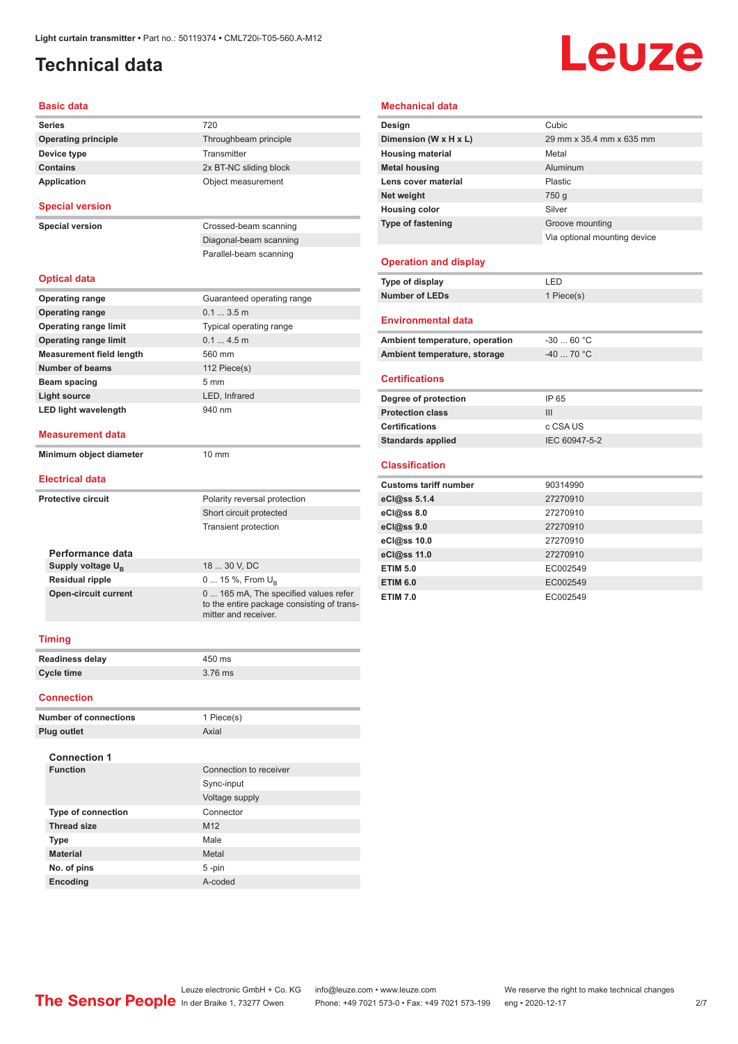## <span id="page-1-0"></span>**Technical data**

# Leuze

#### **Basic data**

| Series                          | 720                                                                                 |
|---------------------------------|-------------------------------------------------------------------------------------|
| <b>Operating principle</b>      | Throughbeam principle                                                               |
| Device type                     | Transmitter                                                                         |
| <b>Contains</b>                 | 2x BT-NC sliding block                                                              |
| <b>Application</b>              | Object measurement                                                                  |
| <b>Special version</b>          |                                                                                     |
| <b>Special version</b>          | Crossed-beam scanning                                                               |
|                                 | Diagonal-beam scanning                                                              |
|                                 | Parallel-beam scanning                                                              |
| <b>Optical data</b>             |                                                                                     |
| <b>Operating range</b>          | Guaranteed operating range                                                          |
| <b>Operating range</b>          | 0.13.5m                                                                             |
| <b>Operating range limit</b>    | Typical operating range                                                             |
| <b>Operating range limit</b>    | 0.14.5m                                                                             |
| <b>Measurement field length</b> | 560 mm                                                                              |
| <b>Number of beams</b>          | 112 Piece(s)                                                                        |
| Beam spacing                    | 5 <sub>mm</sub>                                                                     |
| Light source                    | LED. Infrared                                                                       |
| <b>LED light wavelength</b>     | 940 nm                                                                              |
| <b>Measurement data</b>         |                                                                                     |
| Minimum object diameter         | $10 \text{ mm}$                                                                     |
| <b>Electrical data</b>          |                                                                                     |
| <b>Protective circuit</b>       | Polarity reversal protection                                                        |
|                                 | Short circuit protected                                                             |
|                                 | <b>Transient protection</b>                                                         |
| Performance data                |                                                                                     |
| Supply voltage U <sub>B</sub>   | 18  30 V, DC                                                                        |
| <b>Residual ripple</b>          | 0  15 %, From U <sub>p</sub>                                                        |
| <b>Open-circuit current</b>     | 0  165 mA, The specified values refer<br>to the entire package consisting of trans- |

#### **Mechanical data**

| Design                   | Cubic                        |
|--------------------------|------------------------------|
| Dimension (W x H x L)    | 29 mm x 35.4 mm x 635 mm     |
| <b>Housing material</b>  | Metal                        |
| <b>Metal housing</b>     | Aluminum                     |
| Lens cover material      | Plastic                      |
| Net weight               | 750 g                        |
| <b>Housing color</b>     | Silver                       |
| <b>Type of fastening</b> | Groove mounting              |
|                          | Via optional mounting device |
|                          |                              |

#### **Operation and display**

| Type of display | I FD.      |
|-----------------|------------|
| Number of LEDs  | 1 Piece(s) |

#### **Environmental data**

| Ambient temperature, operation | -30  60 °C |
|--------------------------------|------------|
| Ambient temperature, storage   | -40  70 °C |

#### **Certifications**

| Degree of protection     | IP 65         |
|--------------------------|---------------|
| <b>Protection class</b>  | Ш             |
| <b>Certifications</b>    | c CSA US      |
| <b>Standards applied</b> | IEC 60947-5-2 |

#### **Classification**

| <b>Customs tariff number</b> | 90314990 |
|------------------------------|----------|
| eCl@ss 5.1.4                 | 27270910 |
| eCl@ss 8.0                   | 27270910 |
| eCl@ss 9.0                   | 27270910 |
| eCl@ss 10.0                  | 27270910 |
| eCl@ss 11.0                  | 27270910 |
| <b>ETIM 5.0</b>              | EC002549 |
| <b>ETIM 6.0</b>              | EC002549 |
| <b>ETIM 7.0</b>              | EC002549 |

#### **Timing**

| <b>Readiness delay</b> | 450 ms  |
|------------------------|---------|
| Cycle time             | 3.76 ms |

mitter and receiver.

#### **Connection**

| 1 Piece(s)             |
|------------------------|
| Axial                  |
|                        |
|                        |
| Connection to receiver |
| Sync-input             |
| Voltage supply         |
| Connector              |
| M <sub>12</sub>        |
| Male                   |
| Metal                  |
| $5 - pin$              |
| A-coded                |
|                        |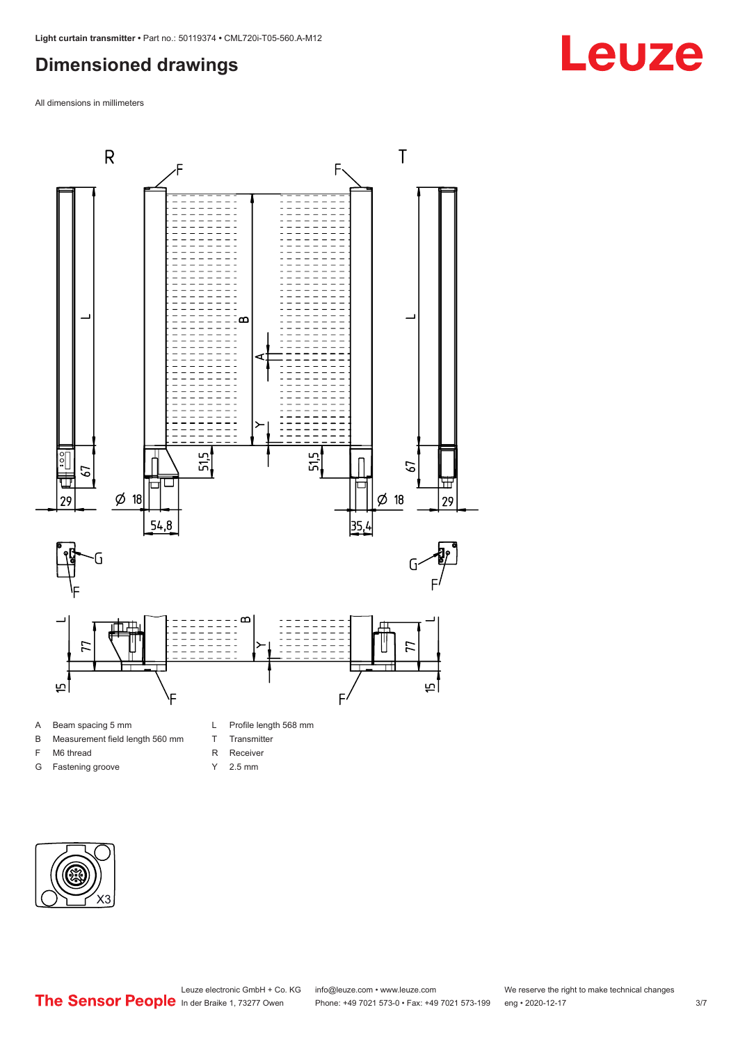## <span id="page-2-0"></span>**Dimensioned drawings**

All dimensions in millimeters



A Beam spacing 5 mm

- B Measurement field length 560 mm
- F M6 thread
- G Fastening groove

T Transmitter

- R Receiver
- Y 2.5 mm
- 

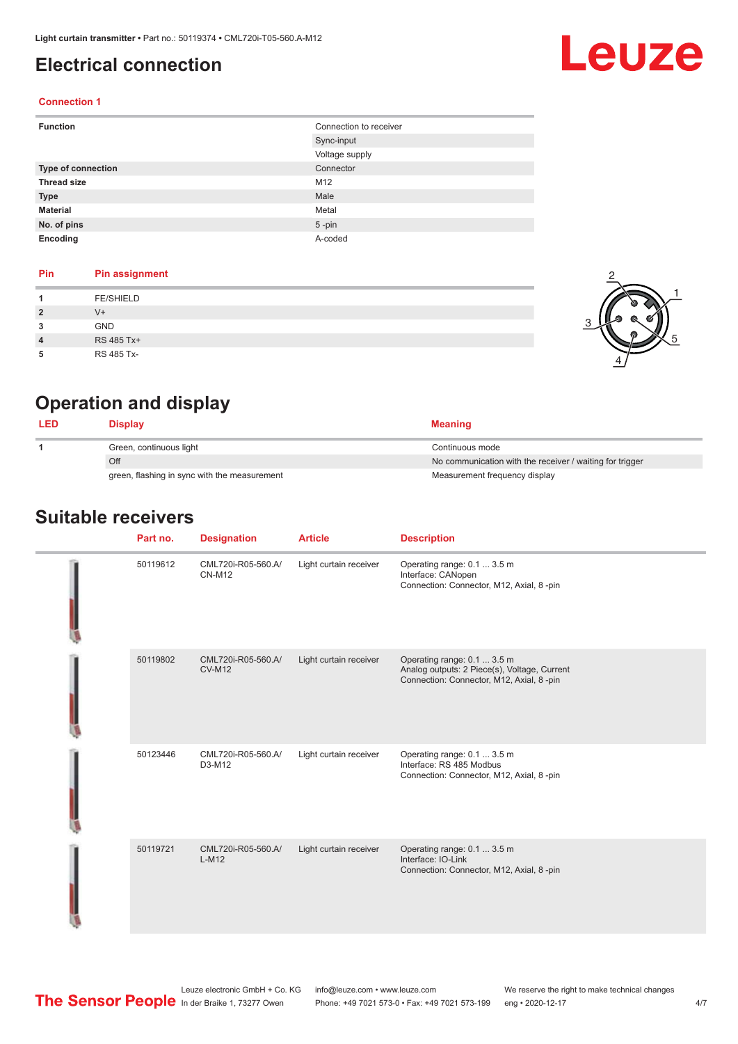### <span id="page-3-0"></span>**Electrical connection**

## Leuze

#### **Connection 1**

| <b>Function</b>           | Connection to receiver |
|---------------------------|------------------------|
|                           | Sync-input             |
|                           | Voltage supply         |
| <b>Type of connection</b> | Connector              |
| <b>Thread size</b>        | M12                    |
| <b>Type</b>               | Male                   |
| <b>Material</b>           | Metal                  |
| No. of pins               | $5 - pin$              |
| Encoding                  | A-coded                |

#### **Pin Pin assignment**

|                | <b>FE/SHIELD</b> |  |  |
|----------------|------------------|--|--|
| $\mathbf{2}$   | V+               |  |  |
| 3              | <b>GND</b>       |  |  |
| $\overline{4}$ | RS 485 Tx+       |  |  |
| 5              | RS 485 Tx-       |  |  |



## **Operation and display**

| <b>LED</b>                     | <b>Display</b>                               | <b>Meaning</b>                                           |
|--------------------------------|----------------------------------------------|----------------------------------------------------------|
| Green, continuous light<br>Off |                                              | Continuous mode                                          |
|                                |                                              | No communication with the receiver / waiting for trigger |
|                                | green, flashing in sync with the measurement | Measurement frequency display                            |

#### **Suitable receivers**

| Part no. | <b>Designation</b>                  | <b>Article</b>         | <b>Description</b>                                                                                                       |
|----------|-------------------------------------|------------------------|--------------------------------------------------------------------------------------------------------------------------|
| 50119612 | CML720i-R05-560.A/<br><b>CN-M12</b> | Light curtain receiver | Operating range: 0.1  3.5 m<br>Interface: CANopen<br>Connection: Connector, M12, Axial, 8 -pin                           |
| 50119802 | CML720i-R05-560.A/<br><b>CV-M12</b> | Light curtain receiver | Operating range: 0.1  3.5 m<br>Analog outputs: 2 Piece(s), Voltage, Current<br>Connection: Connector, M12, Axial, 8 -pin |
| 50123446 | CML720i-R05-560.A/<br>D3-M12        | Light curtain receiver | Operating range: 0.1  3.5 m<br>Interface: RS 485 Modbus<br>Connection: Connector, M12, Axial, 8 -pin                     |
| 50119721 | CML720i-R05-560.A/<br>$L-M12$       | Light curtain receiver | Operating range: 0.1  3.5 m<br>Interface: IO-Link<br>Connection: Connector, M12, Axial, 8 -pin                           |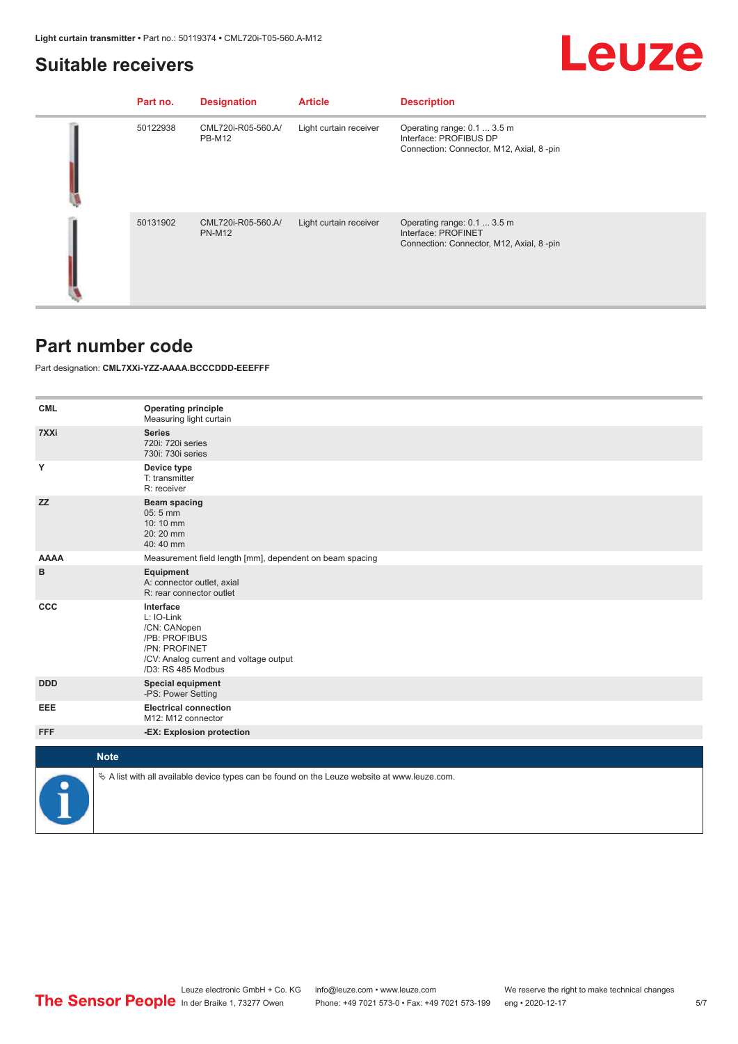## Leuze

### <span id="page-4-0"></span>**Suitable receivers**

| Part no. | <b>Designation</b>                  | <b>Article</b>         | <b>Description</b>                                                                                 |
|----------|-------------------------------------|------------------------|----------------------------------------------------------------------------------------------------|
| 50122938 | CML720i-R05-560.A/<br><b>PB-M12</b> | Light curtain receiver | Operating range: 0.1  3.5 m<br>Interface: PROFIBUS DP<br>Connection: Connector, M12, Axial, 8 -pin |
| 50131902 | CML720i-R05-560.A/<br><b>PN-M12</b> | Light curtain receiver | Operating range: 0.1  3.5 m<br>Interface: PROFINET<br>Connection: Connector, M12, Axial, 8-pin     |

### **Part number code**

Part designation: **CML7XXi-YZZ-AAAA.BCCCDDD-EEEFFF**

| <b>CML</b>  | <b>Operating principle</b><br>Measuring light curtain                                                                                     |
|-------------|-------------------------------------------------------------------------------------------------------------------------------------------|
| 7XXi        | <b>Series</b><br>720i: 720i series<br>730i: 730i series                                                                                   |
| Υ           | Device type<br>T: transmitter<br>R: receiver                                                                                              |
| <b>ZZ</b>   | <b>Beam spacing</b><br>$05:5$ mm<br>10:10 mm<br>20:20 mm<br>40:40 mm                                                                      |
| <b>AAAA</b> | Measurement field length [mm], dependent on beam spacing                                                                                  |
| B           | Equipment<br>A: connector outlet, axial<br>R: rear connector outlet                                                                       |
| CCC         | Interface<br>L: IO-Link<br>/CN: CANopen<br>/PB: PROFIBUS<br>/PN: PROFINET<br>/CV: Analog current and voltage output<br>/D3: RS 485 Modbus |
| <b>DDD</b>  | <b>Special equipment</b><br>-PS: Power Setting                                                                                            |
| EEE         | <b>Electrical connection</b><br>M12: M12 connector                                                                                        |
| <b>FFF</b>  | -EX: Explosion protection                                                                                                                 |
| <b>Note</b> |                                                                                                                                           |
|             |                                                                                                                                           |
|             | $\&$ A list with all available device types can be found on the Leuze website at www.leuze.com.                                           |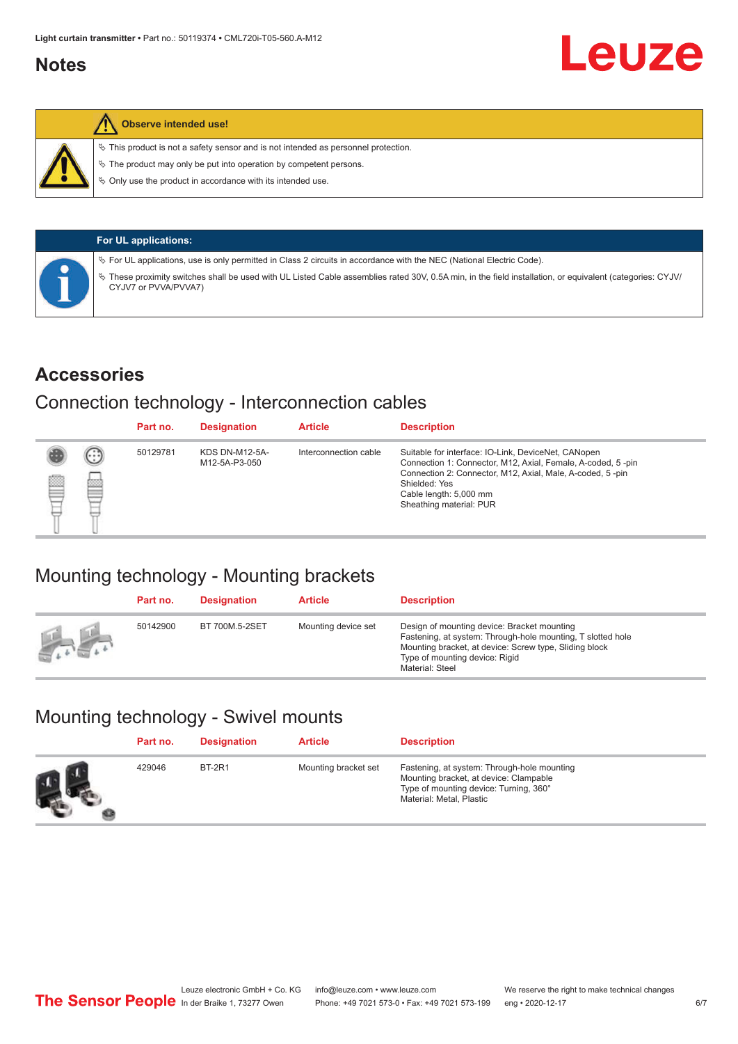### <span id="page-5-0"></span>**Notes**

#### **Observe intended use!**

 $\%$  This product is not a safety sensor and is not intended as personnel protection.

 $\%$  The product may only be put into operation by competent persons.

 $\%$  Only use the product in accordance with its intended use.

|  | <b>For UL applications:</b>                                                                                                                                                       |
|--|-----------------------------------------------------------------------------------------------------------------------------------------------------------------------------------|
|  | Vertical providence is only permitted in Class 2 circuits in accordance with the NEC (National Electric Code).                                                                    |
|  | V These proximity switches shall be used with UL Listed Cable assemblies rated 30V, 0.5A min, in the field installation, or equivalent (categories: CYJV/<br>CYJV7 or PVVA/PVVA7) |

#### **Accessories**

#### Connection technology - Interconnection cables

|   |              | Part no. | <b>Designation</b>                     | <b>Article</b>        | <b>Description</b>                                                                                                                                                                                                                                    |
|---|--------------|----------|----------------------------------------|-----------------------|-------------------------------------------------------------------------------------------------------------------------------------------------------------------------------------------------------------------------------------------------------|
| Ø | $\odot$<br>p | 50129781 | <b>KDS DN-M12-5A-</b><br>M12-5A-P3-050 | Interconnection cable | Suitable for interface: IO-Link, DeviceNet, CANopen<br>Connection 1: Connector, M12, Axial, Female, A-coded, 5-pin<br>Connection 2: Connector, M12, Axial, Male, A-coded, 5-pin<br>Shielded: Yes<br>Cable length: 5,000 mm<br>Sheathing material: PUR |

## Mounting technology - Mounting brackets

|               | Part no. | <b>Designation</b> | <b>Article</b>      | <b>Description</b>                                                                                                                                                                                                        |
|---------------|----------|--------------------|---------------------|---------------------------------------------------------------------------------------------------------------------------------------------------------------------------------------------------------------------------|
| <b>Altres</b> | 50142900 | BT 700M.5-2SET     | Mounting device set | Design of mounting device: Bracket mounting<br>Fastening, at system: Through-hole mounting, T slotted hole<br>Mounting bracket, at device: Screw type, Sliding block<br>Type of mounting device: Rigid<br>Material: Steel |

## Mounting technology - Swivel mounts

| Part no. | <b>Designation</b> | <b>Article</b>       | <b>Description</b>                                                                                                                                          |
|----------|--------------------|----------------------|-------------------------------------------------------------------------------------------------------------------------------------------------------------|
| 429046   | <b>BT-2R1</b>      | Mounting bracket set | Fastening, at system: Through-hole mounting<br>Mounting bracket, at device: Clampable<br>Type of mounting device: Turning, 360°<br>Material: Metal, Plastic |

Leuze